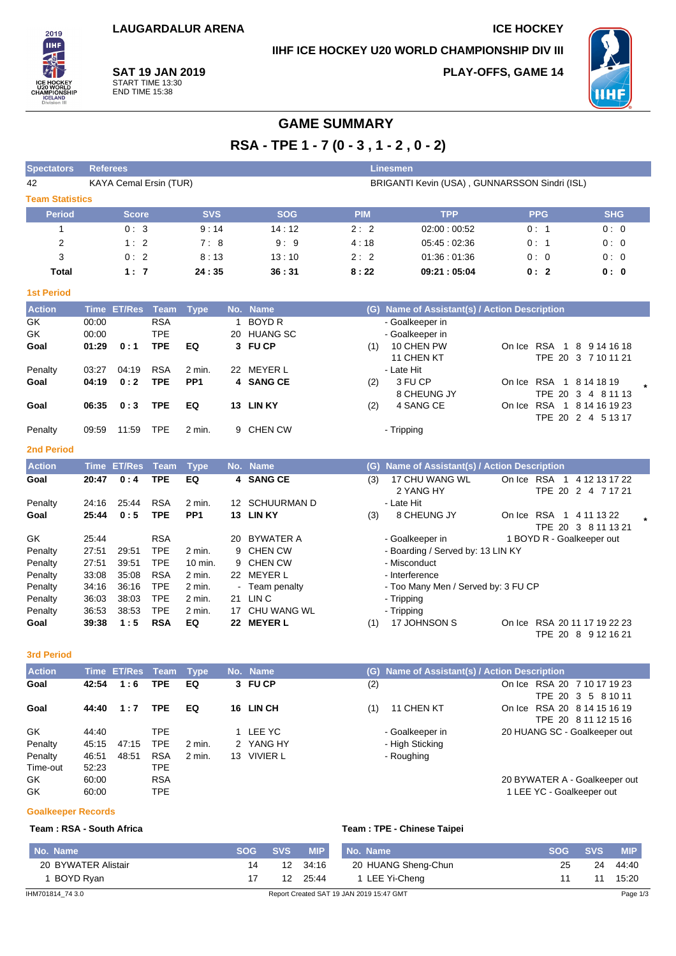## **IIHF ICE HOCKEY U20 WORLD CHAMPIONSHIP DIV III**

**PLAY-OFFS, GAME 14**



**SAT 19 JAN 2019** START TIME 13:30 END TIME 15:38

2019 **TIHE** 

# **GAME SUMMARY**

**RSA - TPE 1 - 7 (0 - 3 , 1 - 2 , 0 - 2)**

| <b>Spectators</b>      | <b>Referees</b><br><b>Linesmen</b> |                        |             |                 |                  |                    |            |                                               |                               |                      |
|------------------------|------------------------------------|------------------------|-------------|-----------------|------------------|--------------------|------------|-----------------------------------------------|-------------------------------|----------------------|
| 42                     |                                    | KAYA Cemal Ersin (TUR) |             |                 |                  |                    |            | BRIGANTI Kevin (USA), GUNNARSSON Sindri (ISL) |                               |                      |
| <b>Team Statistics</b> |                                    |                        |             |                 |                  |                    |            |                                               |                               |                      |
| <b>Period</b>          |                                    | <b>Score</b>           |             | <b>SVS</b>      |                  | <b>SOG</b>         | <b>PIM</b> | <b>TPP</b>                                    | <b>PPG</b>                    | <b>SHG</b>           |
| $\mathbf{1}$           |                                    | 0:3                    |             | 9:14            |                  | 14:12              | 2:2        | 02:00:00:52                                   | 0:1                           | 0:0                  |
| $\overline{2}$         |                                    | 1:2                    |             | 7:8             |                  | 9:9                | 4:18       | 05:45:02:36                                   | 0:1                           | 0:0                  |
| 3                      |                                    | 0:2                    |             | 8:13            |                  | 13:10              | 2:2        | 01:36:01:36                                   | 0:0                           | 0:0                  |
| <b>Total</b>           |                                    | 1:7                    |             | 24:35           |                  | 36:31              | 8:22       | 09:21:05:04                                   | 0:2                           | 0:0                  |
| <b>1st Period</b>      |                                    |                        |             |                 |                  |                    |            |                                               |                               |                      |
| <b>Action</b>          | <b>Time</b>                        | <b>ET/Res</b>          | <b>Team</b> | <b>Type</b>     | No.              | <b>Name</b>        |            | (G) Name of Assistant(s) / Action Description |                               |                      |
| GK                     | 00:00                              |                        | <b>RSA</b>  |                 | 1                | <b>BOYD R</b>      |            | - Goalkeeper in                               |                               |                      |
| GK                     | 00:00                              |                        | <b>TPE</b>  |                 |                  | 20 HUANG SC        |            | - Goalkeeper in                               |                               |                      |
| Goal                   | 01:29                              | 0:1                    | <b>TPE</b>  | EQ              |                  | 3 FU CP            | (1)        | 10 CHEN PW                                    | On Ice RSA 1 8 9 14 16 18     |                      |
|                        |                                    |                        |             |                 |                  |                    |            | 11 CHEN KT                                    |                               | TPE 20 3 7 10 11 21  |
| Penalty                | 03:27                              | 04:19                  | <b>RSA</b>  | 2 min.          |                  | 22 MEYER L         |            | - Late Hit                                    |                               |                      |
| Goal                   | 04:19                              | 0:2                    | <b>TPE</b>  | PP <sub>1</sub> |                  | 4 SANG CE          | (2)        | 3 FU CP                                       | On Ice RSA 1 8 14 18 19       |                      |
|                        |                                    |                        |             |                 |                  |                    |            | 8 CHEUNG JY                                   |                               | TPE 20 3 4 8 11 13   |
| Goal                   | 06:35                              | 0:3                    | <b>TPE</b>  | EQ              |                  | 13 LIN KY          | (2)        | 4 SANG CE                                     | On Ice RSA 1 8 14 16 19 23    |                      |
|                        | 09:59                              | 11:59                  | <b>TPE</b>  | 2 min.          |                  | 9 CHEN CW          |            | - Tripping                                    |                               | TPE 20 2 4 5 13 17   |
| Penalty                |                                    |                        |             |                 |                  |                    |            |                                               |                               |                      |
| <b>2nd Period</b>      |                                    |                        |             |                 |                  |                    |            |                                               |                               |                      |
| <b>Action</b>          | <b>Time</b>                        | <b>ET/Res</b>          | <b>Team</b> | <b>Type</b>     |                  | No. Name           | (G)        | Name of Assistant(s) / Action Description     |                               |                      |
| Goal                   | 20:47                              | 0:4                    | <b>TPE</b>  | EQ              |                  | 4 SANG CE          | (3)        | 17 CHU WANG WL                                | On Ice RSA 1 4 12 13 17 22    |                      |
|                        |                                    |                        |             |                 |                  |                    |            | 2 YANG HY                                     |                               | TPE 20 2 4 7 17 21   |
| Penalty                | 24:16                              | 25:44                  | <b>RSA</b>  | 2 min.          | 12 <sup>12</sup> | <b>SCHUURMAN D</b> |            | - Late Hit                                    |                               |                      |
| Goal                   | 25:44                              | 0:5                    | <b>TPE</b>  | PP <sub>1</sub> |                  | 13 LIN KY          | (3)        | 8 CHEUNG JY                                   | On Ice RSA 1 4 11 13 22       |                      |
| GK                     | 25:44                              |                        | <b>RSA</b>  |                 | 20               | BYWATER A          |            | - Goalkeeper in                               | 1 BOYD R - Goalkeeper out     | TPE 20 3 8 11 13 21  |
| Penalty                | 27:51                              | 29:51                  | <b>TPE</b>  | 2 min.          | 9                | <b>CHEN CW</b>     |            | - Boarding / Served by: 13 LIN KY             |                               |                      |
| Penalty                | 27:51                              | 39.51                  | <b>TPE</b>  | 10 min.         | 9                | <b>CHEN CW</b>     |            | - Misconduct                                  |                               |                      |
| Penalty                | 33:08                              | 35:08                  | <b>RSA</b>  | 2 min.          |                  | 22 MEYER L         |            | - Interference                                |                               |                      |
| Penalty                | 34:16                              | 36:16                  | <b>TPE</b>  | 2 min.          |                  | Team penalty       |            | - Too Many Men / Served by: 3 FU CP           |                               |                      |
| Penalty                | 36:03                              | 38:03                  | <b>TPE</b>  | 2 min.          | 21               | LIN C              |            | - Tripping                                    |                               |                      |
| Penalty                | 36:53                              | 38:53                  | <b>TPE</b>  | 2 min.          |                  | 17 CHU WANG WL     |            | - Tripping                                    |                               |                      |
| Goal                   | 39:38                              | 1:5                    | <b>RSA</b>  | EQ              |                  | 22 MEYER L         | (1)        | 17 JOHNSON S                                  | On Ice RSA 2011 17 19 22 23   |                      |
|                        |                                    |                        |             |                 |                  |                    |            |                                               |                               | TPE 20 8 9 12 16 21  |
| <b>3rd Period</b>      |                                    |                        |             |                 |                  |                    |            |                                               |                               |                      |
| Action                 |                                    | Time ET/Res Team Type  |             |                 |                  | No. Name           |            | (G) Name of Assistant(s) / Action Description |                               |                      |
| Goal                   | 42:54                              | 1:6                    | <b>TPE</b>  | EQ              |                  | 3 FU CP            | (2)        |                                               | On Ice RSA 20 7 10 17 19 23   |                      |
|                        |                                    |                        |             |                 |                  |                    |            |                                               |                               | TPE 20 3 5 8 10 11   |
| Goal                   | 44:40                              | 1:7                    | <b>TPE</b>  | EQ              |                  | 16 LIN CH          | (1)        | 11 CHEN KT                                    | On Ice RSA 20 8 14 15 16 19   | TPE 20 8 11 12 15 16 |
| GK                     | 44:40                              |                        | <b>TPE</b>  |                 | 1                | <b>LEE YC</b>      |            | - Goalkeeper in                               | 20 HUANG SC - Goalkeeper out  |                      |
| Penalty                | 45:15                              | 47:15                  | <b>TPE</b>  | 2 min.          |                  | 2 YANG HY          |            | - High Sticking                               |                               |                      |
| Penalty                | 46.51                              | 48:51                  | <b>RSA</b>  | 2 min.          |                  | 13 VIVIER L        |            | - Roughing                                    |                               |                      |
| Time-out               | 52:23                              |                        | <b>TPE</b>  |                 |                  |                    |            |                                               |                               |                      |
| GK                     | 60:00                              |                        | <b>RSA</b>  |                 |                  |                    |            |                                               | 20 BYWATER A - Goalkeeper out |                      |
| GK                     | 60:00                              |                        | <b>TPE</b>  |                 |                  |                    |            |                                               | 1 LEE YC - Goalkeeper out     |                      |

**Goalkeeper Records**

### **Team : RSA - South Africa Team : TPE - Chinese Taipei**

| No. Name            | <b>SOG</b> | <b>SVS</b> | <b>MIP</b> | No. Name                                 | <b>SOG</b> | <b>SVS</b> | <b>MIP</b> |
|---------------------|------------|------------|------------|------------------------------------------|------------|------------|------------|
| 20 BYWATER Alistair | 14         |            | 12 34:16   | 20 HUANG Sheng-Chun                      |            | 24         | 44:40      |
| BOYD Rvan           |            |            | 12 25:44   | 1 LEE Yi-Chena                           |            |            | 15:20      |
| IHM701814 74 3.0    |            |            |            | Report Created SAT 19 JAN 2019 15:47 GMT |            |            | Page 1/3   |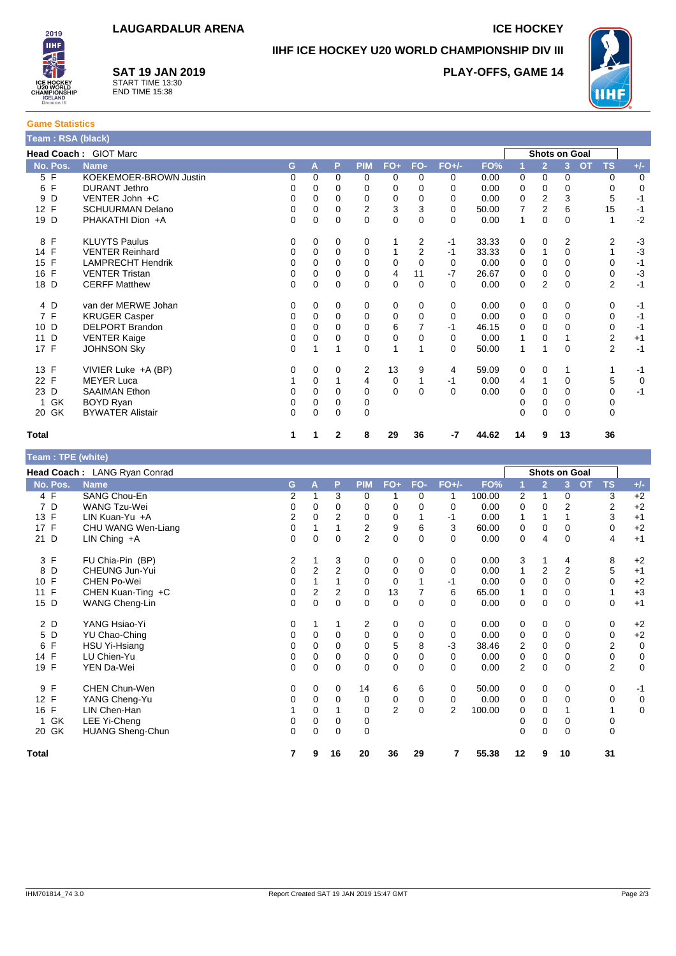# **IIHF ICE HOCKEY U20 WORLD CHAMPIONSHIP DIV III**

## **SAT 19 JAN 2019**



2019 **IIHF** 

START TIME 13:30 END TIME 15:38



| <b>Game Statistics</b>       |  |  |  |  |  |  |  |
|------------------------------|--|--|--|--|--|--|--|
| Team: RSA (black)            |  |  |  |  |  |  |  |
| <b>Head Coach: GIOT Marc</b> |  |  |  |  |  |  |  |
|                              |  |  |  |  |  |  |  |

|                    | Head Coach: GIOT Marc    |          |          |              |            |             |                |          |       |    |                | <b>Shots on Goal</b> |                        |       |
|--------------------|--------------------------|----------|----------|--------------|------------|-------------|----------------|----------|-------|----|----------------|----------------------|------------------------|-------|
| No. Pos.           | <b>Name</b>              | G        | A        | P            | <b>PIM</b> | $FO+$       | FO-            | $FO+/-$  | FO%   |    | $\overline{2}$ | 3                    | <b>OT</b><br><b>TS</b> | $+/-$ |
| 5 F                | KOEKEMOER-BROWN Justin   | 0        | $\Omega$ | $\Omega$     | 0          | $\Omega$    | $\Omega$       | 0        | 0.00  | 0  | $\Omega$       | 0                    | 0                      | 0     |
| 6 F                | <b>DURANT Jethro</b>     | 0        | $\Omega$ | 0            | 0          | 0           | 0              | 0        | 0.00  | 0  | 0              | 0                    | 0                      | 0     |
| D<br>9             | VENTER John +C           | $\Omega$ | 0        | 0            | 0          | 0           | 0              | 0        | 0.00  | 0  | 2              | 3                    | 5                      | $-1$  |
| 12 F               | <b>SCHUURMAN Delano</b>  | 0        | $\Omega$ | 0            | 2          | 3           | 3              | 0        | 50.00 | 7  | 2              | 6                    | 15                     | $-1$  |
| 19 D               | PHAKATHI Dion +A         | 0        | $\Omega$ | 0            | 0          | $\mathbf 0$ | $\Omega$       | $\Omega$ | 0.00  | 1  | 0              | 0                    | 1                      | $-2$  |
| F<br>8             | <b>KLUYTS Paulus</b>     | 0        | 0        | 0            | 0          |             | 2              | $-1$     | 33.33 | 0  | 0              | 2                    | 2                      | $-3$  |
| 14 F               | <b>VENTER Reinhard</b>   | 0        | $\Omega$ | 0            | 0          |             | $\overline{2}$ | $-1$     | 33.33 | 0  |                | 0                    |                        | $-3$  |
| F<br>15            | <b>LAMPRECHT Hendrik</b> | $\Omega$ | $\Omega$ | $\Omega$     | 0          | 0           | $\Omega$       | $\Omega$ | 0.00  | 0  | $\Omega$       | 0                    | 0                      | $-1$  |
| $\mathsf{F}$<br>16 | <b>VENTER Tristan</b>    | 0        | 0        | 0            | 0          | 4           | 11             | $-7$     | 26.67 | 0  | 0              | 0                    | 0                      | $-3$  |
| 18 D               | <b>CERFF Matthew</b>     | 0        | $\Omega$ | 0            | $\Omega$   | $\mathbf 0$ | $\Omega$       | $\Omega$ | 0.00  | 0  | 2              | 0                    | $\overline{2}$         | $-1$  |
| 4 D                | van der MERWE Johan      | 0        | $\Omega$ | 0            | 0          | 0           | 0              | 0        | 0.00  | 0  | 0              | 0                    | 0                      | $-1$  |
| 7 F                | <b>KRUGER Casper</b>     | 0        | 0        | 0            | 0          | 0           | 0              | 0        | 0.00  | 0  | 0              | 0                    | 0                      | $-1$  |
| 10 D               | <b>DELPORT Brandon</b>   | 0        | $\Omega$ | 0            | 0          | 6           | 7              | $-1$     | 46.15 | 0  | 0              | 0                    | 0                      | $-1$  |
| D<br>11            | <b>VENTER Kaige</b>      | 0        | $\Omega$ | 0            | 0          | 0           | 0              | 0        | 0.00  |    | 0              |                      | 2                      | $+1$  |
| 17 F               | <b>JOHNSON Sky</b>       | 0        |          |              | 0          |             |                | 0        | 50.00 | 1  |                | 0                    | 2                      | $-1$  |
| 13 F               | VIVIER Luke +A (BP)      | 0        | 0        | 0            | 2          | 13          | 9              | 4        | 59.09 | 0  | 0              | 1                    |                        | $-1$  |
| 22 F               | <b>MEYER Luca</b>        |          | $\Omega$ |              | 4          | 0           |                | $-1$     | 0.00  | 4  | 1              | 0                    | 5                      | 0     |
| 23 D               | <b>SAAIMAN Ethon</b>     | 0        | $\Omega$ | 0            | 0          | $\Omega$    | $\Omega$       | $\Omega$ | 0.00  | 0  | $\Omega$       | 0                    | 0                      | $-1$  |
| 1 GK               | BOYD Ryan                | 0        | 0        | 0            | 0          |             |                |          |       |    | 0              | 0                    | 0                      |       |
| 20 GK              | <b>BYWATER Alistair</b>  | 0        | $\Omega$ | 0            | 0          |             |                |          |       | 0  | 0              | 0                    | 0                      |       |
| <b>Total</b>       |                          | 1        |          | $\mathbf{2}$ | 8          | 29          | 36             | -7       | 44.62 | 14 | 9              | 13                   | 36                     |       |

| Team : TPE (white) |                              |             |          |                |                |                |          |                |        |    |                |                |           |                |             |
|--------------------|------------------------------|-------------|----------|----------------|----------------|----------------|----------|----------------|--------|----|----------------|----------------|-----------|----------------|-------------|
|                    | Head Coach: LANG Ryan Conrad |             |          |                |                |                |          |                |        |    |                | Shots on Goal  |           |                |             |
| No. Pos.           | <b>Name</b>                  | G           | А        | P              | <b>PIM</b>     | $FO+$          | FO-      | $FO+/-$        | FO%    |    | $\overline{2}$ | 3              | <b>OT</b> | <b>TS</b>      | $+/-$       |
| 4 F                | SANG Chou-En                 | 2           |          | 3              | 0              | 1              | 0        | 1              | 100.00 | 2  | 1              | 0              |           | 3              | $+2$        |
| 7 D                | <b>WANG Tzu-Wei</b>          | 0           | 0        | 0              | 0              | 0              | 0        | 0              | 0.00   | 0  | 0              | 2              |           | 2              | $+2$        |
| $\mathsf{F}$<br>13 | LIN Kuan-Yu +A               | 2           | 0        | 2              | 0              | 0              |          | -1             | 0.00   | 1  | 1              |                |           | 3              | $+1$        |
| 17 F               | CHU WANG Wen-Liang           | $\mathbf 0$ |          |                | 2              | 9              | 6        | 3              | 60.00  | 0  | 0              | 0              |           | 0              | $+2$        |
| 21 D               | LIN Ching $+A$               | 0           | $\Omega$ | $\Omega$       | $\overline{2}$ | $\mathbf 0$    | $\Omega$ | $\Omega$       | 0.00   | 0  | 4              | $\Omega$       |           | 4              | $+1$        |
| 3 F                | FU Chia-Pin (BP)             | 2           |          | 3              | 0              | 0              | 0        | 0              | 0.00   | 3  | 1              | 4              |           | 8              | $+2$        |
| D<br>8             | CHEUNG Jun-Yui               | 0           | 2        | $\overline{2}$ | 0              | 0              | 0        | 0              | 0.00   | 1  | 2              | $\overline{2}$ |           | 5              | $+1$        |
| F<br>10            | <b>CHEN Po-Wei</b>           | $\mathbf 0$ |          |                | $\mathbf 0$    | $\mathbf 0$    |          | $-1$           | 0.00   | 0  | $\mathbf 0$    | $\Omega$       |           | $\Omega$       | $+2$        |
| F<br>11            | CHEN Kuan-Ting +C            | 0           | 2        | 2              | 0              | 13             |          | 6              | 65.00  |    | 0              | 0              |           |                | $+3$        |
| D<br>15            | WANG Cheng-Lin               | 0           | 0        | $\mathbf 0$    | 0              | $\mathbf 0$    | $\Omega$ | $\Omega$       | 0.00   | 0  | 0              | $\mathbf 0$    |           | 0              | $+1$        |
| 2 D                | YANG Hsiao-Yi                | 0           |          |                | 2              | 0              | 0        | 0              | 0.00   | 0  | $\mathbf 0$    | 0              |           | 0              | $+2$        |
| 5<br>D             | <b>YU Chao-Ching</b>         | 0           | 0        | 0              | 0              | 0              | 0        | 0              | 0.00   | 0  | 0              | 0              |           | 0              | $+2$        |
| F<br>6             | HSU Yi-Hsiang                | 0           | $\Omega$ | $\Omega$       | 0              | 5              | 8        | $-3$           | 38.46  | 2  | 0              | $\Omega$       |           | 2              | $\mathbf 0$ |
| F<br>14            | LU Chien-Yu                  | 0           | 0        | 0              | 0              | 0              | 0        | 0              | 0.00   | 0  | 0              | $\mathbf 0$    |           | 0              | 0           |
| 19 F               | YEN Da-Wei                   | $\Omega$    | $\Omega$ | $\Omega$       | $\Omega$       | $\mathbf 0$    | $\Omega$ | $\Omega$       | 0.00   | 2  | $\Omega$       | $\Omega$       |           | $\overline{2}$ | $\mathbf 0$ |
| F<br>9             | CHEN Chun-Wen                | 0           | 0        | 0              | 14             | 6              | 6        | 0              | 50.00  | 0  | 0              | 0              |           | 0              | $-1$        |
| 12 F               | YANG Cheng-Yu                | 0           | $\Omega$ | $\Omega$       | 0              | $\mathbf 0$    | 0        | 0              | 0.00   | 0  | $\mathbf 0$    | 0              |           | 0              | $\mathbf 0$ |
| F<br>16            | LIN Chen-Han                 |             | 0        |                | 0              | $\overline{2}$ | $\Omega$ | $\overline{2}$ | 100.00 | 0  | 0              |                |           |                | $\mathbf 0$ |
| GK                 | LEE Yi-Cheng                 | 0           | 0        | 0              | 0              |                |          |                |        | 0  | 0              | 0              |           | 0              |             |
| 20 GK              | <b>HUANG Sheng-Chun</b>      | $\Omega$    | $\Omega$ | $\Omega$       | $\Omega$       |                |          |                |        | 0  | $\Omega$       | $\Omega$       |           | $\Omega$       |             |
| <b>Total</b>       |                              | 7           | 9        | 16             | 20             | 36             | 29       | 7              | 55.38  | 12 | 9              | 10             |           | 31             |             |